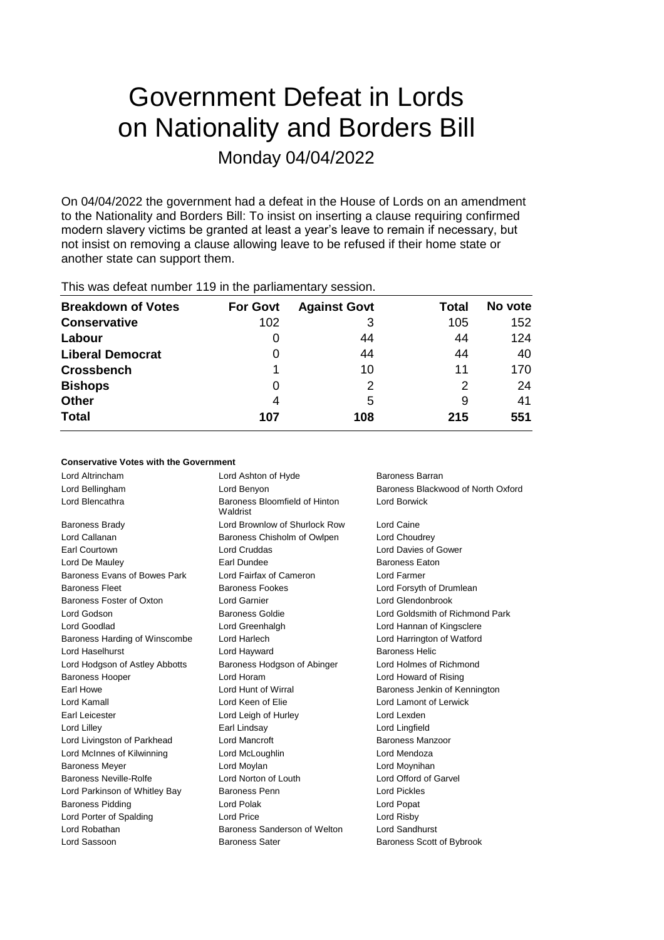# Government Defeat in Lords on Nationality and Borders Bill Monday 04/04/2022

On 04/04/2022 the government had a defeat in the House of Lords on an amendment to the Nationality and Borders Bill: To insist on inserting a clause requiring confirmed modern slavery victims be granted at least a year's leave to remain if necessary, but not insist on removing a clause allowing leave to be refused if their home state or another state can support them.

| <b>Breakdown of Votes</b> | <b>For Govt</b> | <b>Against Govt</b> | Total | No vote |
|---------------------------|-----------------|---------------------|-------|---------|
| <b>Conservative</b>       | 102             | 3                   | 105   | 152     |
| Labour                    | 0               | 44                  | 44    | 124     |
| <b>Liberal Democrat</b>   | 0               | 44                  | 44    | 40      |
| <b>Crossbench</b>         |                 | 10                  | 11    | 170     |
| <b>Bishops</b>            | 0               | 2                   | 2     | 24      |
| <b>Other</b>              | 4               | 5                   | 9     | 41      |
| <b>Total</b>              | 107             | 108                 | 215   | 551     |
|                           |                 |                     |       |         |

This was defeat number 119 in the parliamentary session.

# **Conservative Votes with the Government**

Lord Blencathra **Baroness Bloomfield of Hinton** Baroness Brady Lord Brownlow of Shurlock Row Lord Caine Lord Callanan **Baroness Chisholm of Owlpen** Lord Choudrey Earl Courtown Lord Cruddas Lord Davies of Gower Lord De Mauley **Earl Dundee** Eaton Baroness Eaton Baroness Evans of Bowes Park Lord Fairfax of Cameron Lord Farmer Baroness Fleet **Baroness Fookes** Lord Forsyth of Drumlean Baroness Foster of Oxton Lord Garnier Lord Glendonbrook Lord Godson Baroness Goldie Lord Goldsmith of Richmond Park Lord Goodlad Lord Greenhalgh Lord Hannan of Kingsclere Baroness Harding of Winscombe Lord Harlech Lord Harrington of Watford Lord Haselhurst **Lord Hayward** Baroness Helic Lord Hodgson of Astley Abbotts Baroness Hodgson of Abinger Lord Holmes of Richmond Baroness Hooper Lord Horam Lord Howard of Rising Earl Howe **Lord Hunt of Wirral Baroness Jenkin of Kennington** Baroness Jenkin of Kennington Lord Kamall Lord Keen of Elie Lord Lamont of Lerwick Earl Leicester Lord Leigh of Hurley Lord Lexden Lord Lilley Earl Lindsay Lord Lingfield Lord Livingston of Parkhead Lord Mancroft **Baroness Manzoor** Lord McInnes of Kilwinning Lord McLoughlin Lord Mendoza Baroness Mever **Lord Moylan** Lord Moylan **Lord Lord Moylan** Lord Lord Moynihan Baroness Neville-Rolfe Lord Norton of Louth Lord Offord of Garvel Lord Parkinson of Whitley Bay Baroness Penn Lord Pickles Baroness Pidding **Lord Polak** Lord Polak **Lord Popat** Lord Porter of Spalding Lord Price Lord Risby Lord Robathan Baroness Sanderson of Welton Lord Sandhurst Lord Sassoon **Baroness Sater** Baroness Scott of Bybrook

Lord Altrincham Lord Ashton of Hyde Baroness Barran Waldrist

Lord Bellingham **Lord Benyon** Baroness Blackwood of North Oxford Benyon Lord Borwick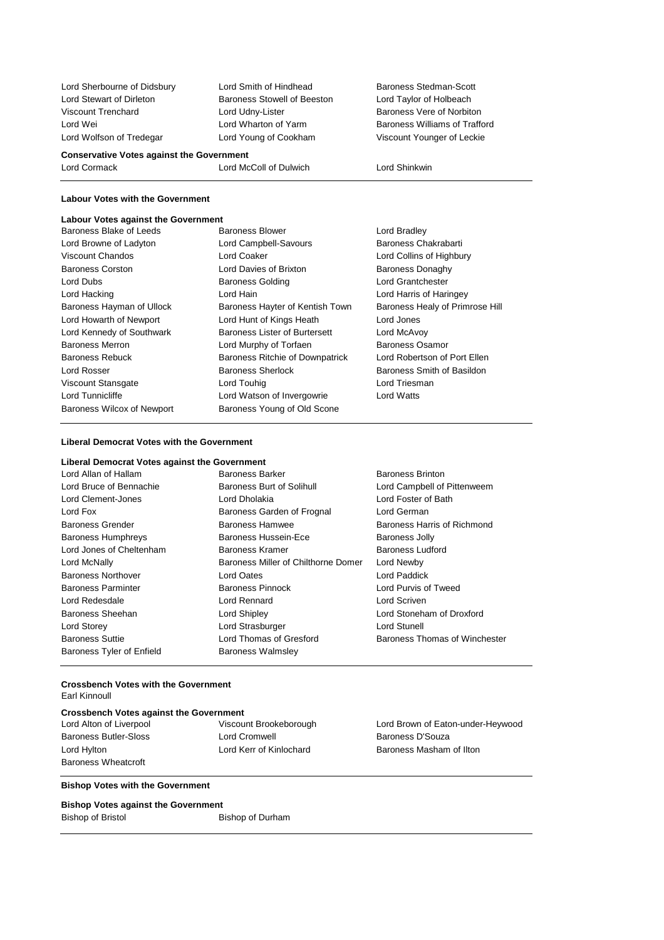Lord Stewart of Dirleton **Baroness Stowell of Beeston** Lord Taylor of Holbeach Viscount Trenchard **Lord Udny-Lister** Baroness Vere of Norbiton Lord Wei **Lord Wharton of Yarm** Baroness Williams of Trafford Baroness Williams of Trafford

Lord Sherbourne of Didsbury Lord Smith of Hindhead Baroness Stedman-Scott Lord Wolfson of Tredegar Lord Young of Cookham Viscount Younger of Leckie

# **Conservative Votes against the Government** Lord Cormack Lord McColl of Dulwich Lord Shinkwin

# **Labour Votes with the Government**

# **Labour Votes against the Government**

| Labour votes against the Government |                                      |                                 |
|-------------------------------------|--------------------------------------|---------------------------------|
| Baroness Blake of Leeds             | Baroness Blower                      | Lord Bradley                    |
| Lord Browne of Ladyton              | Lord Campbell-Savours                | Baroness Chakrabarti            |
| Viscount Chandos                    | Lord Coaker                          | Lord Collins of Highbury        |
| <b>Baroness Corston</b>             | Lord Davies of Brixton               | <b>Baroness Donaghy</b>         |
| Lord Dubs                           | <b>Baroness Golding</b>              | Lord Grantchester               |
| Lord Hacking                        | Lord Hain                            | Lord Harris of Haringey         |
| Baroness Hayman of Ullock           | Baroness Hayter of Kentish Town      | Baroness Healy of Primrose Hill |
| Lord Howarth of Newport             | Lord Hunt of Kings Heath             | Lord Jones                      |
| Lord Kennedy of Southwark           | <b>Baroness Lister of Burtersett</b> | Lord McAvoy                     |
| <b>Baroness Merron</b>              | Lord Murphy of Torfaen               | Baroness Osamor                 |
| <b>Baroness Rebuck</b>              | Baroness Ritchie of Downpatrick      | Lord Robertson of Port Ellen    |
| Lord Rosser                         | <b>Baroness Sherlock</b>             | Baroness Smith of Basildon      |
| Viscount Stansgate                  | Lord Touhig                          | Lord Triesman                   |
| Lord Tunnicliffe                    | Lord Watson of Invergowrie           | Lord Watts                      |
| <b>Baroness Wilcox of Newport</b>   | Baroness Young of Old Scone          |                                 |
|                                     |                                      |                                 |

# **Liberal Democrat Votes with the Government**

| Liberal Democrat Votes against the Government |                                     |                               |
|-----------------------------------------------|-------------------------------------|-------------------------------|
| Lord Allan of Hallam                          | Baroness Barker                     | <b>Baroness Brinton</b>       |
| Lord Bruce of Bennachie                       | Baroness Burt of Solihull           | Lord Campbell of Pittenweem   |
| Lord Clement-Jones                            | Lord Dholakia                       | Lord Foster of Bath           |
| Lord Fox                                      | Baroness Garden of Frognal          | Lord German                   |
| <b>Baroness Grender</b>                       | Baroness Hamwee                     | Baroness Harris of Richmond   |
| <b>Baroness Humphreys</b>                     | Baroness Hussein-Ece                | <b>Baroness Jolly</b>         |
| Lord Jones of Cheltenham                      | Baroness Kramer                     | <b>Baroness Ludford</b>       |
| Lord McNally                                  | Baroness Miller of Chilthorne Domer | Lord Newby                    |
| <b>Baroness Northover</b>                     | <b>Lord Oates</b>                   | Lord Paddick                  |
| <b>Baroness Parminter</b>                     | Baroness Pinnock                    | Lord Purvis of Tweed          |
| Lord Redesdale                                | Lord Rennard                        | Lord Scriven                  |
| Baroness Sheehan                              | Lord Shipley                        | Lord Stoneham of Droxford     |
| Lord Storey                                   | Lord Strasburger                    | Lord Stunell                  |
| <b>Baroness Suttie</b>                        | Lord Thomas of Gresford             | Baroness Thomas of Winchester |
| Baroness Tyler of Enfield                     | <b>Baroness Walmsley</b>            |                               |

# **Crossbench Votes with the Government** Earl Kinnoull

# **Crossbench Votes against the Government**

Baroness Wheatcroft

Baroness Butler-Sloss **Lord Cromwell** Baroness D'Souza

# **Bishop Votes with the Government**

# **Bishop Votes against the Government**

Bishop of Bristol Bishop of Durham

Lord Alton of Liverpool Viscount Brookeborough Lord Brown of Eaton-under-Heywood Lord Hylton Lord Kerr of Kinlochard Baroness Masham of Ilton